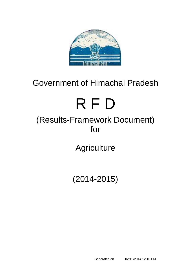

# Government of Himachal Pradesh

# R F D

# (Results-Framework Document) for

**Agriculture** 

(2014-2015)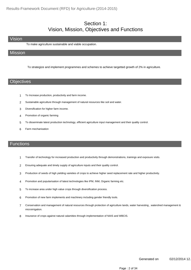#### Section 1: Vision, Mission, Objectives and Functions

Vision

To make agriculture sustainable and viable occupation.

#### Mission

To strategize and implement programmes and schemes to achieve targetted growth of 2% in agriculture.

#### **Objectives**

- 1 To Increase production, productivity and farm income.
- 2 Sustainable agriculture through management of natural resources like soil and water.
- 3 Diversification for higher farm income.
- 4 Promotion of organic farming
- 5 To disseminate latest production technology, efficient agriculture input management and their quality control.
- 6 Farm mechanisation

#### **Functions**

- 1 Transfer of technology for increased production and productivity through demonstrations, trainings and exposure visits.
- 2 Ensuring adequate and timely supply of agriculture inputs and their quality control.
- 3 Production of seeds of high yielding varieties of crops to achieve higher seed replacement rate and higher productivity.
- 4 Promotion and popularisation of latest technologies like IPM, INM, Organic farming etc.
- 5 To increase area under high value crops through diversification process.
- 6 Promotion of new farm implements and machinery including gender friendly tools.
- Conservation and management of natural resources through protection of agriculture lands, water harvesting , watershed management & microirrigation. 7
- 8 Insurance of crops against natural calamities through implementation of NAIS and WBCIS.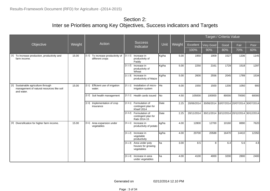#### Section 2: Inter se Priorities among Key Objectives, Success indicators and Targets

|                                                                                                |        |                                                         |         |                                                               |             |        |            |            | Target / Criteria Value |                                  |       |
|------------------------------------------------------------------------------------------------|--------|---------------------------------------------------------|---------|---------------------------------------------------------------|-------------|--------|------------|------------|-------------------------|----------------------------------|-------|
| Objective                                                                                      | Weight | Action                                                  |         | <b>Success</b><br>Indicator                                   | Unit        | Weight | Excellent  | Very Good  | Good                    | Fair                             | Poor  |
|                                                                                                |        |                                                         |         |                                                               |             |        | 100%       | 90%        | 80%                     | 70%                              | 60%   |
| [1] To Increase production, productivity and<br>farm income.                                   | 15.00  | To increase productivity of<br>[1.1]<br>different crops |         | $[1.1.1]$ Increase in<br>productivity of<br>Paddy             | Kg/ha       | 5.00   | 1950       | 1909       | 1527                    | 1336                             | 1145  |
|                                                                                                |        |                                                         |         | $[1.1.2]$ Increase in<br>productivity of<br>Wheat             | Kg/ha       | 5.00   | 2250       | 2161       | 1729                    | 1518                             | 1297  |
|                                                                                                |        |                                                         |         | $[1.1.3]$ Increase in<br>productivity of Maize                | Kg/ha       | 5.00   | 2600       | 2556       | 2045                    | 1789                             | 1534  |
| [2] Sustainable agriculture through<br>management of natural resources like soil<br>and water. | 15.00  | [2.1]<br>Efficient use of irrigation<br>water.          | [2.1.1] | Installation of micro-<br>irrigation system                   | <b>І</b> На | 6.00   | 1550       | 1500       | 1200                    | 1050                             | 900   |
|                                                                                                |        | Soil health management<br>[2.2]                         |         | [2.2.1] Health cards issued                                   | lNo.        | 4.50   | 105000     | 100000     | 80000                   | 70000                            | 60000 |
|                                                                                                |        | Implementation of crop<br>[2.3]<br>insurance            |         | [2.3.1] Formulation of<br>contingent plan for<br>Kharif 2014  | Date        | 2.25   | 20/06/2014 | 30/06/2014 |                         | 10/07/2014 20/07/2014 30/07/2014 |       |
|                                                                                                |        |                                                         |         | [2.3.2] Formulation of<br>contingent plan for<br>Rabi 2014-15 | Date        | 2.25   | 20/11/2014 | 30/11/2014 |                         | 10/12/2014 20/12/2014 30/12/2014 |       |
| [3] Diversification for higher farm income.                                                    | 15.00  | [3.1]<br>Area expansion under<br>vegetables             |         | [3.1.1] Increase in<br>productivity of potato                 | kg/ha       | 4.00   | 12800      | 12700      | 10160                   | 8890                             | 7620  |
|                                                                                                |        |                                                         |         | [3.1.2] Increase in<br>vegetable<br>productivity              | kg/ha       | 4.00   | 20700      | 20588      | 16470                   | 14410                            | 12350 |
|                                                                                                |        |                                                         |         | [3.1.3] Area under poly<br>houses for growing<br>vegetables   | ha          | 3.00   | 8.5        | 8          | 6.4                     | 5.6                              | 4.8   |
|                                                                                                |        |                                                         |         | [3.1.4] Increase in area<br>under vegetables                  | ha          | 4.00   | 4100       | 4000       | 3200                    | 2800                             | 2400  |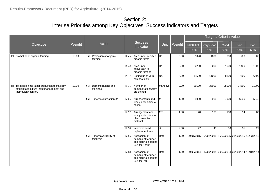#### Section 2: Inter se Priorities among Key Objectives, Success indicators and Targets

|                                                                                                                          |        |                                                |                      |                                                                                                |           |        |            | Target / Criteria Value |       |                                  |       |
|--------------------------------------------------------------------------------------------------------------------------|--------|------------------------------------------------|----------------------|------------------------------------------------------------------------------------------------|-----------|--------|------------|-------------------------|-------|----------------------------------|-------|
| Objective                                                                                                                | Weight | Action                                         | Success<br>Indicator |                                                                                                | Unit      | Weight | Excellent  | Very Good               | Good  | Fair                             | Poor  |
|                                                                                                                          |        |                                                |                      |                                                                                                |           |        | 100%       | 90%                     | 80%   | 70%                              | 60%   |
| [4] Promotion of organic farming                                                                                         | 15.00  | [4.1]<br>Promotion of organic<br>farming       |                      | [4.1.1] Area under certified<br>organic farms                                                  | Iна       | 5.00   | 1020       | 1000                    | 800   | 700                              | 600   |
|                                                                                                                          |        |                                                |                      | [4.1.2] Area under<br>conversion to<br>organic farming                                         | lнa       | 5.00   | 2200       | 2000                    | 1600  | 1400                             | 1200  |
|                                                                                                                          |        |                                                |                      | [4.1.3] Setting up of vermi<br>compost units                                                   | No.       | 5.00   | 11500      | 11000                   | 8800  | 7700                             | 6600  |
| [5] To disseminate latest production technology,<br>efficient agriculture input management and<br>their quality control. | 10.00  | [5.1]<br>Demonstrations and<br>trainings       |                      | [5.1.1] Number of<br>demonstrations/farm<br>ers trained                                        | mandays   | 2.00   | 35500      | 35000                   | 28000 | 24500                            | 21000 |
|                                                                                                                          |        | [5.2]<br>Timely supply of inputs               | [5.2.1]              | Arrangements and<br>timely distribution of<br>seeds                                            | <b>MT</b> | 1.00   | 9950       | 9900                    | 7920  | 6930                             | 5940  |
|                                                                                                                          |        |                                                |                      | [5.2.2] Arrangement and<br>timely distribution of<br>plant protection<br>material              | <b>MT</b> | 1.00   | 140        | 135                     | 108   | 94                               | 80    |
|                                                                                                                          |        |                                                |                      | [5.2.3] Improved seed<br>replacement rate                                                      | $\%$      | 2.00   | 47         | 45                      | 36    | 31                               | 27    |
|                                                                                                                          |        | Timely availability of<br>[5.3]<br>fertilizers |                      | [5.3.1] Assesment of<br>demand of fertiliser<br>and placing indent to<br><b>GOI</b> for Kharif | Date      | 1.00   | 30/01/2015 | 04/02/2015              |       | 15/02/2015 28/02/2015 10/03/2015 |       |
|                                                                                                                          |        |                                                |                      | [5.3.2] Assesment of<br>demand of fertiliser<br>and placing indent to<br><b>GOI</b> for Rabi   | Date      | 1.00   | 30/08/2014 | 10/09/2014              |       | 20/09/2014 30/09/2014 10/10/2014 |       |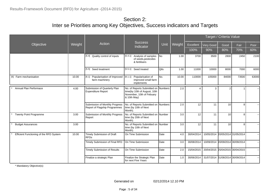#### Section 2: Inter se Priorities among Key Objectives, Success indicators and Targets

|                                         |        |                                                                 |                                                                                                                 |              |        |                         |                                  | Target / Criteria Value |       |       |
|-----------------------------------------|--------|-----------------------------------------------------------------|-----------------------------------------------------------------------------------------------------------------|--------------|--------|-------------------------|----------------------------------|-------------------------|-------|-------|
| Objective                               | Weight | Action                                                          | <b>Success</b><br>Indicator                                                                                     | Unit         | Weight | Excellent               | <b>Very Good</b>                 | Good                    | Fair  | Poor  |
|                                         |        |                                                                 |                                                                                                                 |              |        | 100%                    | 90%                              | 80%                     | 70%   | 60%   |
|                                         |        | [5.4] Quality control of inputs                                 | [5.4.1] Analysis of samples<br>of seeds, pesticides<br>& fertilisers                                            | <b>INo</b>   | 1.00   | 3700                    | 3500                             | 2800                    | 2450  | 2100  |
|                                         |        | [5.5] Seed treatment                                            | [5.5.1] Seed treated                                                                                            | <b>Qtls</b>  | 1.00   | 11000                   | 10000                            | 8000                    | 7000  | 6000  |
| [6] Farm mechanisation                  | 10.00  | [6.1]<br>Popularisation of Improved<br>farm machinery           | [6.1.1]<br>Popularisation of<br>improved small farm<br>implements                                               | No.          | 10.00  | 110000                  | 105000                           | 84000                   | 73500 | 63000 |
| Annual Plan Performace                  | 4.00   | Submission of Quarterly Plan<br><b>Expenditure Report</b>       | No. of Reports Submitted on Numbers<br>time(by 10th of August, 10th<br>November, 10th of Febuary<br>& 10th May) |              | 2.0    | $\overline{\mathbf{A}}$ | 3                                | 2 <sup>1</sup>          |       |       |
|                                         |        | Submission of Monthly Progress<br>Report of Flagship Programmes | No. of Reports Submitted on Numbers<br>time (by 10th of Next<br>Month).                                         |              | 2.0    | 12                      | 11                               | 10                      | 8     |       |
| <b>Twenty Point Programme</b>           | 3.00   | Submission of Monthly Progress<br>Report                        | No. of Reports Submitted on Number<br>time (by 20th of Next<br>Month).                                          |              | 3.0    | 12                      | 11                               | 10                      | 8     |       |
| <b>Budget Assurances</b>                | 3.00   |                                                                 | No. of Reports Submitted on Number<br>time (by 10th of Next<br>Month).                                          |              | 3.0    | 12                      | 11                               | 10 <sup>1</sup>         | 8     |       |
| Efficient Functioning of the RFD System | 10.00  | Timely Submission of Draft<br><b>RFDs</b>                       | On Time Submission                                                                                              | Date         | 4.0    | 30/04/2014              | 10/05/2014 20/05/2014 31/05/2014 |                         |       |       |
|                                         |        | Timely Submission of Final RFD                                  | On Time Submission                                                                                              | Date         | 3.0    | 30/08/2014              | 10/09/2014 20/09/2014 30/09/2014 |                         |       |       |
|                                         |        | Timely Submission of Results                                    | On Time Submission                                                                                              | Date         | 2.0    | 15/04/2015              | 20/04/2015 25/04/2015 30/04/2015 |                         |       |       |
|                                         |        | Finalize a strategic Plan                                       | Finalize the Strategic Plan<br>for next Five Years                                                              | <b>D</b> ate | 1.0    | 30/06/2014              | 31/07/2014 31/08/2014 30/09/2014 |                         |       |       |

\* Mandatory Objective(s)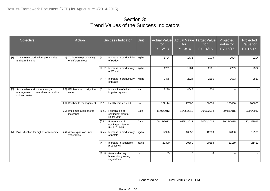#### Section 3: Trend Values of the Success Indicators

| Objective                                                                                           | Action                                               |         | <b>Success Indicator</b>                                     | <b>Unit</b> | <b>Actual Value</b><br>for<br>FY 12/13 | for<br>FY 13/14 | Actual Value Target Value<br>for<br>FY 14/15 | Projected<br>Value for<br>FY 15/16 | Projected<br>Value for<br>FY 16/17 |
|-----------------------------------------------------------------------------------------------------|------------------------------------------------------|---------|--------------------------------------------------------------|-------------|----------------------------------------|-----------------|----------------------------------------------|------------------------------------|------------------------------------|
| To Increase production, productivity<br>$[1]$<br>and farm income.                                   | [1.1] To increase productivity<br>of different crops |         | [1.1.1] Increase in productivity<br>of Paddy                 | Kg/ha       | 1724                                   | 1736            | 1909                                         | 2004                               | 2104                               |
|                                                                                                     |                                                      |         | [1.1.2] Increase in productivity<br>of Wheat                 | Kg/ha       | 1751                                   | 1964            | 2161                                         | 2269                               | 2382                               |
|                                                                                                     |                                                      |         | [1.1.3] Increase in productivity<br>of Maize                 | Kg/ha       | 2475                                   | 2324            | 2556                                         | 2683                               | 2817                               |
| $[2]$<br>Sustainable agriculture through<br>management of natural resources like<br>soil and water. | [2.1] Efficient use of irrigation<br>water.          |         | [2.1.1] Installation of micro-<br>irrigation system          | Ha          | 3290                                   | 4647            | 1500                                         | $\overline{\phantom{a}}$           | $\mathbf{e} = \mathbf{e}$          |
|                                                                                                     | [2.2] Soil health management                         |         | [2.2.1] Health cards issued                                  | No          | 122114                                 | 127500          | 100000                                       | 100000                             | 100000                             |
|                                                                                                     | [2.3] Implementation of crop<br>insurance            |         | [2.3.1] Formulation of<br>contingent plan for<br>Kharif 2014 | Date        | 11/07/2012                             | 18/06/2013      | 30/06/2014                                   | 30/06/2015                         | 30/06/2016                         |
|                                                                                                     |                                                      | [2.3.2] | Formulation of<br>contingent plan for<br>Rabi 2014-15        | Date        | 08/11/2012                             | 03/12/2013      | 30/11/2014                                   | 30/11/2015                         | 30/11/2016                         |
| Diversification for higher farm income.<br>$[3]$                                                    | [3.1] Area expansion under<br>vegetables             |         | [3.1.1] Increase in productivity<br>of potato                | kg/ha       | 12920                                  | 10650           | 12700                                        | 12800                              | 12900                              |
|                                                                                                     |                                                      |         | [3.1.2] Increase in vegetable<br>productivity                | kg/ha       | 20300                                  | 20360           | 20588                                        | 21159                              | 21429                              |
|                                                                                                     |                                                      |         | [3.1.3] Area under poly<br>houses for growing<br>vegetables  | ha          | 35                                     | $\mathbf 0$     | 8                                            | $\sim$                             | $\sim$                             |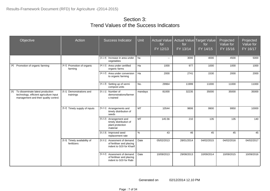#### Section 3: Trend Values of the Success Indicators

| Objective                                                                                                                     | Action                                      | <b>Success Indicator</b>                                                             | Unit      | Actual Value<br>for<br>FY 12/13 | for<br>FY 13/14 | Actual Value Target Value<br>for<br>FY 14/15 | Projected<br>Value for<br>FY 15/16 | Projected<br>Value for<br>FY 16/17 |
|-------------------------------------------------------------------------------------------------------------------------------|---------------------------------------------|--------------------------------------------------------------------------------------|-----------|---------------------------------|-----------------|----------------------------------------------|------------------------------------|------------------------------------|
|                                                                                                                               |                                             | [3.1.4]<br>Increase in area under<br>vegetables                                      | ha        | $\sim$                          | 3000            | 4000                                         | 4500                               | 5000                               |
| [4] Promotion of organic farming                                                                                              | [4.1] Promotion of organic<br>farming       | [4.1.1] Area under certified<br>organic farms                                        | Ha        | 1000                            | 977             | 1000                                         | 1000                               | 1000                               |
|                                                                                                                               |                                             | [4.1.2] Area under conversion<br>to organic farming                                  | Ha        | 2000                            | 2741            | 1530                                         | 2000                               | 2000                               |
|                                                                                                                               |                                             | [4.1.3]<br>Setting up of vermi<br>compost units                                      | No.       | 29964                           | 11999           | 11000                                        | 11000                              | 11000                              |
| To disseminate latest production<br>$[5]$<br>technology, efficient agriculture input<br>management and their quality control. | [5.1] Demonstrations and<br>trainings       | [5.1.1] Number of<br>demonstrations/farmer<br>s trained                              | mandays   | 81000                           | 32235           | 35000                                        | 35000                              | 35000                              |
|                                                                                                                               | [5.2] Timely supply of inputs               | [5.2.1] Arrangements and<br>timely distribution of<br>seeds                          | <b>MT</b> | 10544                           | 9806            | 9900                                         | 9950                               | 10000                              |
|                                                                                                                               |                                             | [5.2.2] Arrangement and<br>timely distribution of<br>plant protection<br>material    | <b>MT</b> | 145.56                          | 210             | 135                                          | 135                                | 140                                |
|                                                                                                                               |                                             | [5.2.3] Improved seed<br>replacement rate                                            | $\%$      | 43                              | 46              | 45                                           | 45                                 | 45                                 |
|                                                                                                                               | [5.3] Timely availability of<br>fertilizers | [5.3.1] Assesment of demand<br>of fertiliser and placing<br>indent to GOI for Kharif | Date      | 05/02/2013                      | 28/01/2014      | 04/02/2015                                   | 04/02/2016                         | 04/02/2017                         |
|                                                                                                                               |                                             | [5.3.2] Assesment of demand<br>of fertiliser and placing<br>indent to GOI for Rabi   | Date      | 10/09/2013                      | 29/08/2013      | 10/09/2014                                   | 10/09/2015                         | 10/09/2016                         |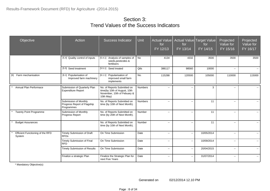#### Section 3: Trend Values of the Success Indicators

| Objective                                  | Action                                                             | <b>Success Indicator</b>                                                                                | <b>Unit</b>    | <b>Actual Value</b><br>for<br>FY 12/13 | for<br>FY 13/14                               | <b>Actual Value Target Value</b><br>for<br>FY 14/15 | Projected<br>Value for<br>$FY$ 15/16 | Projected<br>Value for<br>FY 16/17 |
|--------------------------------------------|--------------------------------------------------------------------|---------------------------------------------------------------------------------------------------------|----------------|----------------------------------------|-----------------------------------------------|-----------------------------------------------------|--------------------------------------|------------------------------------|
|                                            | [5.4] Quality control of inputs                                    | Analysis of samples of<br>[5.4.1]<br>seeds, pesticides &<br>fertilisers                                 | <b>No</b>      | 4134                                   | 4332                                          | 3500                                                | 3500                                 | 3500                               |
|                                            | [5.5] Seed treatment                                               | [5.5.1] Seed treated                                                                                    | <b>Qtls</b>    | 386117                                 | 98560                                         | 10000                                               | $\sim$                               | $\sim$                             |
| [6] Farm mechanisation                     | [6.1] Popularisation of<br>Improved farm machinery                 | [6.1.1] Popularisation of<br>improved small farm<br>implements                                          | No.            | 115288                                 | 120500                                        | 105000                                              | 110000                               | 115000                             |
| Annual Plan Performace                     | Submission of Quarterly Plan<br><b>Expenditure Report</b>          | No. of Reports Submitted on<br>time(by 10th of August, 10th<br>November, 10th of Febuary &<br>10th May) | <b>Numbers</b> | $\overline{a}$                         | Ξ.                                            | 3                                                   | $\sim$                               |                                    |
|                                            | Submission of Monthly<br>Progress Report of Flagship<br>Programmes | No. of Reports Submitted on<br>time (by 10th of Next Month).                                            | <b>Numbers</b> | $\overline{a}$                         | $\mathbf{L}$                                  | 11                                                  | $\overline{a}$                       |                                    |
| <b>Twenty Point Programme</b>              | Submission of Monthly<br>Progress Report                           | No. of Reports Submitted on<br>time (by 20th of Next Month).                                            | Number         | $\sim$                                 | $\overline{\phantom{a}}$                      | 11                                                  | $\sim$                               | $\sim$                             |
| <b>Budget Assurances</b>                   |                                                                    | No. of Reports Submitted on<br>time (by 10th of Next Month).                                            | Number         | $\sim$                                 | $\mathord{\hspace{1pt}\text{--}\hspace{1pt}}$ | 11                                                  | $\sim$                               | $\mathbf{e} = \mathbf{e}$          |
| Efficient Functioning of the RFD<br>System | Timely Submission of Draft<br><b>RFDs</b>                          | On Time Submission                                                                                      | Date           | $\sim$                                 | $\sim$                                        | 10/05/2014                                          | $\mathbf{u}$                         | $\sim$                             |
|                                            | Timely Submission of Final<br><b>RFD</b>                           | On Time Submission                                                                                      | Date           | $\sim$                                 | $\mathord{\hspace{1pt}\text{--}\hspace{1pt}}$ | 10/09/2014                                          | $\overline{\phantom{a}}$             | $\sim$                             |
|                                            | <b>Timely Submission of Results</b>                                | On Time Submission                                                                                      | Date           | $\overline{a}$                         | $\mathbf{L}$                                  | 20/04/2015                                          | $\overline{a}$                       | $\mathbf{u}$                       |
|                                            | Finalize a strategic Plan                                          | Finalize the Strategic Plan for<br>next Five Years                                                      | Date           | $\mathbf{H}$                           | $\sim$                                        | 31/07/2014                                          | $\sim$                               | $\sim$                             |

\* Mandatory Objective(s)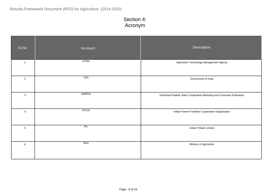## Section 4: Acronym

| SI.No           | Acronym       | Description                                                          |
|-----------------|---------------|----------------------------------------------------------------------|
| $\overline{1}$  | ATMA          | Agriculture Technology Management Agency                             |
| $\overline{2}$  | GOI           | Government of India                                                  |
| $\mathbf 3$     | <b>HIMFED</b> | Himachal Pradesh State Cooperative Marketing and Consumer Federation |
| $\overline{4}$  | <b>IFFCO</b>  | Indian Farmer Fertiliser Cooperative Organisation                    |
| $5\phantom{.0}$ | IPL           | Indian Potash Limited                                                |
| $\,6\,$         | MoA           | Ministry of Agriculture                                              |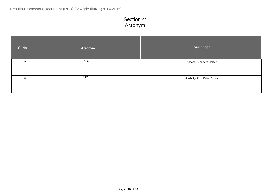## Section 4: Acronym

| SI.No          | Acronym    | <b>Description</b>                  |
|----------------|------------|-------------------------------------|
| $\overline{ }$ | <b>NFL</b> | <b>National Fertilisers LImited</b> |
| 8              | RKVY       | Rashtriya Krishi Vikas Yojna        |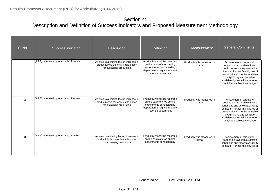| SI.No          | Success indicator                         | <b>Description</b>                                                                                               | <b>Definition</b>                                                                                                                                 | Measurement                          | <b>General Comments</b>                                                                                                                                                                                                                                                            |
|----------------|-------------------------------------------|------------------------------------------------------------------------------------------------------------------|---------------------------------------------------------------------------------------------------------------------------------------------------|--------------------------------------|------------------------------------------------------------------------------------------------------------------------------------------------------------------------------------------------------------------------------------------------------------------------------------|
|                | [1.1.1] Increase in productivity of Paddy | As area is a limiting factor, increase in<br>productivity is the only viable option<br>for sustaining production | Productivity shall be recorded<br>on the basis of crop cutting<br>experiments conducted by<br>department of agriculture and<br>revenue department | Productivity is measured in<br>kg/ha | Achievement of targets will<br>depend on favourable climatic<br>conditions and timely availability<br>of inputs. Further final figures of<br>productivity will not be available<br>by April-May and tentative<br>available figures will be reported<br>which are subject to change |
| $\overline{2}$ | [1.1.2] Increase in productivity of Wheat | As area is a limiting factor, increase in<br>productivity is the only viable option<br>for sustaining production | Productivity shall be recorded<br>on the basis of crop cutting<br>experiments conducted by<br>department of agriculture and<br>revenue department | Productivity is measured in<br>kg/ha | Achievement of targets will<br>depend on favourable climatic<br>conditions and timely availability<br>of inputs. Further final figures of<br>productivity will not be available<br>by April-May and tentative<br>available figures will be reported<br>which are subject to change |
| 3              | [1.1.3] Increase in productivity of Maize | As area is a limiting factor, increase in<br>productivity is the only viable option<br>for sustaining production | Productivity shall be recorded<br>on the basis of crop cutting<br>experiments conducted by                                                        | Productivity is measured in<br>kg/ha | Achievement of targets will<br>depend on favourable climatic<br>conditions and timely availability<br>of inputs. Further final figures of                                                                                                                                          |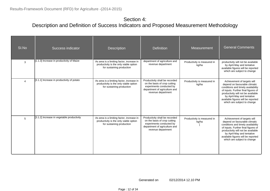| SI.No | Success indicator                          | <b>Description</b>                                                                                               | <b>Definition</b>                                                                                                                                 | Measurement                          | <b>General Comments</b>                                                                                                                                                                                                                                                            |
|-------|--------------------------------------------|------------------------------------------------------------------------------------------------------------------|---------------------------------------------------------------------------------------------------------------------------------------------------|--------------------------------------|------------------------------------------------------------------------------------------------------------------------------------------------------------------------------------------------------------------------------------------------------------------------------------|
| 3     | [1.1.3] Increase in productivity of Maize  | As area is a limiting factor, increase in<br>productivity is the only viable option<br>for sustaining production | department of agriculture and<br>revenue department                                                                                               | Productivity is measured in<br>kg/ha | productivity will not be available<br>by April-May and tentative<br>available figures will be reported<br>which are subject to change                                                                                                                                              |
|       | [3.1.1] Increase in productivity of potato | As area is a limiting factor, increase in<br>productivity is the only viable option<br>for sustaining production | Productivity shall be recorded<br>on the basis of crop cutting<br>experiments conducted by<br>department of agriculture and<br>revenue department | Productivity is measured in<br>kg/ha | Achievement of targets will<br>depend on favourable climatic<br>conditions and timely availability<br>of inputs. Further final figures of<br>productivity will not be available<br>by April-May and tentative<br>available figures will be reported<br>which are subject to change |
| 5     | [3.1.2] Increase in vegetable productivity | As area is a limiting factor, increase in<br>productivity is the only viable option<br>for sustaining production | Productivity shall be recorded<br>on the basis of crop cutting<br>experiments conducted by<br>department of agriculture and<br>revenue department | Productivity is measured in<br>kg/ha | Achievement of targets will<br>depend on favourable climatic<br>conditions and timely availability<br>of inputs. Further final figures of<br>productivity will not be available<br>by April-May and tentative<br>available figures will be reported<br>which are subject to change |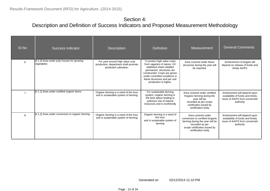| SI.No | Success indicator                                        | <b>Description</b>                                                                                | <b>Definition</b>                                                                                                                                                                                                                              | <b>Measurement</b>                                                                                                                                                 | <b>General Comments</b>                                                                                        |
|-------|----------------------------------------------------------|---------------------------------------------------------------------------------------------------|------------------------------------------------------------------------------------------------------------------------------------------------------------------------------------------------------------------------------------------------|--------------------------------------------------------------------------------------------------------------------------------------------------------------------|----------------------------------------------------------------------------------------------------------------|
| 6     | [3.1.3] Area under poly houses for growing<br>vegetables | For year around high value crop<br>production, department shall promote<br>protected cultivation. | To protect high value crops<br>from vagaries of nature, UV<br>stabilised sheet cladded<br>permanent structures are<br>constructed. Crops are grown<br>under controlled conditions in<br>these structures and per unit<br>production is higher. | Area covered under these<br>structures during the year will<br>be reported.                                                                                        | Achievement of targets will<br>depend on release of funds and<br>timely AA/FS                                  |
|       | [4.1.1] Area under certified organic farms               | Organic farming is a need of the hour<br>and is sustainable system of farming                     | For sustainable farming<br>system, organic farming is<br>the best option leading to<br>judicious use of natural<br>resources and is ecofriendly                                                                                                | Area covered under certified<br>forganic farming during the<br>year will be<br>recorded as per scope<br>certificates issued by<br>certification body               | Achievement will depend upon<br>availability of funds and timely<br>issue of AA/FS from concerned<br>authority |
| 8     | [4.1.2] Area under conversion to organic farming         | Organic farming is a need of the hour<br>and is sustainable system of farming                     | Organic farming is a need of<br>the hour<br>and is sustainable system of<br>farming                                                                                                                                                            | Area covered under<br>conversion to certified forganic<br>farming during the year will be<br>recorded as per<br>scope certificates issued by<br>certification body | Achievement will depend upon<br>availability of funds and timely<br>issue of AA/FS from concerned<br>authority |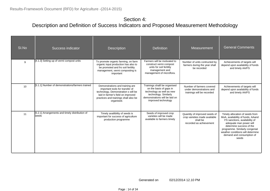| SI.No | Success indicator                                               | <b>Description</b>                                                                                                                                                                                     | <b>Definition</b>                                                                                                                                                       | Measurement                                                                                           | <b>General Comments</b>                                                                                                                                                                                                                                                   |
|-------|-----------------------------------------------------------------|--------------------------------------------------------------------------------------------------------------------------------------------------------------------------------------------------------|-------------------------------------------------------------------------------------------------------------------------------------------------------------------------|-------------------------------------------------------------------------------------------------------|---------------------------------------------------------------------------------------------------------------------------------------------------------------------------------------------------------------------------------------------------------------------------|
| 9     | [4.1.3] Setting up of vermi compost units                       | To promote organic farming, on farm<br>organic input production has also to<br>be promoted and fro soil fertility<br>management, vermi composting is<br>important                                      | Farmers will be motivated to<br>construct vermi compost<br>units for soil fertility<br>management and<br>management of microflora.                                      | Number of units contructed by<br>farmers during the year shall<br>be recorded                         | Achievements of targets will<br>depend upon availability of funds<br>and timely AA/FS                                                                                                                                                                                     |
| 10    | [5.1.1] Number of demonstrations/farmers trained                | Demonstrations and training are<br>important tools for transfer of<br>technology, Demonstration s will be<br>laid in farmer's field on improved<br>practices and trainings shall also be<br>organised. | Trainings shalll be organised<br>on the basis of gaps in<br>technology as well as new<br>technology. Similarly<br>demonstrations will be laid on<br>improved technology | Number of farmers covered<br>under demonstrations and<br>trainings will be recorded                   | Achievements of targets will<br>depend upon availability of funds<br>and timely AA/FS                                                                                                                                                                                     |
| 11    | [5.2.1] Arrangements and timely distribution of<br><b>seeds</b> | Timely availibility of seeds is<br>important for success of agriculture<br>production programme                                                                                                        | Seeds of improved crop<br>varieties will be made<br>available to farmers timely                                                                                         | Quantity of improved seeds of<br>crop varieties made available<br>shall be<br>recorded as achievement | Timely allocation of seeds from<br>MoA, availability of funds, AAand<br>FS sanctions, availability of<br>adequate man power will<br>determine success of the<br>programme. Similarly congenial<br>weather conditions will determine<br>demand and consumption of<br>seeds |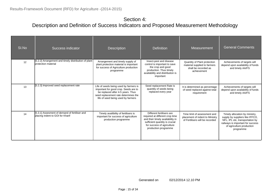| SI.No | <b>Success indicator</b>                                                           | <b>Description</b>                                                                                                                                                                                 | <b>Definition</b>                                                                                                                                                                        | Measurement                                                                                         | <b>General Comments</b>                                                                                                                                                             |
|-------|------------------------------------------------------------------------------------|----------------------------------------------------------------------------------------------------------------------------------------------------------------------------------------------------|------------------------------------------------------------------------------------------------------------------------------------------------------------------------------------------|-----------------------------------------------------------------------------------------------------|-------------------------------------------------------------------------------------------------------------------------------------------------------------------------------------|
| 12    | [5.2.2] Arrangement and timely distribution of plant<br><b>protection</b> material | Arrangement and timely supply of<br>plant protection material is important<br>for success of Agriculture production<br>programme                                                                   | Insect-pest and disease<br>control is important to save<br>the crop and good<br>production. Thus timely<br>availability and distribution is<br>important                                 | Quantity of Plant protection<br>material supplied to farmers<br>shall be recorded as<br>achievement | Achievements of targets will<br>depend upon availability of funds<br>and timely AA/FS                                                                                               |
| 13    | [5.2.3] Improved seed replacement rate                                             | Life of seeds being used by farmers is<br>important for good crop. Seeds are to<br>be replaced after 4-5 years. Thus<br>seed replacement rate determines the<br>life of seed being used by farmers | Seed replacement Rate is<br>quantity of seeds being<br>replaced every year                                                                                                               | It is determined as percentage<br>of seed replaced against total<br>requirement                     | Achievements of targets will<br>depend upon availability of funds<br>and timely AA/FS                                                                                               |
| 14    | [5.3.1] Assesment of demand of fertiliser and<br>placing indent to GOI for Kharif  | Timely availibility of fertilisers is<br>important for success of agriculture<br>production programme                                                                                              | Different fertilisers are<br>required at different crop time<br>and their timely availability in<br>sufficient quantity is crucial<br>for success of agriculture<br>production programme | Time limit of assessment and<br>placement of indent to Ministry<br>of Fertilisers will be recorded  | Timely allocation by ministry,<br>supply by suppliers like IFFCO,<br>NFL, IPL etc, transportation by<br>railways is important for success<br>of agriculture production<br>programme |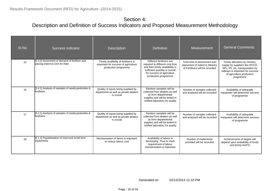| SI.No | <b>Success indicator</b>                                                        | <b>Description</b>                                                                                    | <b>Definition</b>                                                                                                                                                                        | Measurement                                                                                        | <b>General Comments</b>                                                                                                                                                             |
|-------|---------------------------------------------------------------------------------|-------------------------------------------------------------------------------------------------------|------------------------------------------------------------------------------------------------------------------------------------------------------------------------------------------|----------------------------------------------------------------------------------------------------|-------------------------------------------------------------------------------------------------------------------------------------------------------------------------------------|
| 15    | [5.3.2] Assesment of demand of fertiliser and<br>placing indent to GOI for Rabi | Timely availibility of fertilisers is<br>important for success of agriculture<br>production programme | Different fertilisers are<br>required at different crop time<br>and their timely availability in<br>sufficient quantity is crucial<br>for success of agriculture<br>production programme | Time limit of assessment and<br>placement of indent to Ministry<br>of Fertilisers will be recorded | Timely allocation by ministry,<br>supply by suppliers like IFFCO,<br>NFL, IPL etc, transportation by<br>railways is important for success<br>of agriculture production<br>programme |
| 16    | [5.4.1] Analysis of samples of seeds, pesticides &<br>fertilisers               | Quality of inputs being supplied by<br>department as well as private dealers<br>is crucial            | Random samplels will be<br>collected from dealers as well<br>as from departmental<br>supplies and will be tested in<br>notified laboratory for quality                                   | Number of samples collected<br>and analysed will be recorded                                       | Availability of adequalte<br>manpower will determine success<br>of programme                                                                                                        |
| 17    | [5.4.1] Analysis of samples of seeds, pesticides &<br>fertilisers               | Quality of inputs being supplied by<br>department as well as private dealers<br>is crucial            | Random samplels will be<br>collected from dealers as well<br>as from departmental<br>supplies and will be tested in<br>notified laboratory for quality                                   | Number of samples collected<br>and analysed will be recorded                                       | Availability of adequalte<br>manpower will determine success<br>of programme                                                                                                        |
| 18    | [6.1.1] Popularisation of improved small farm<br><i>implements</i>              | Mechanisation of farms is important<br>to reduce labour cost                                          | Availability of labour is<br>decreasing. Thus to meet<br>requirement of labour<br>mechanisation is important                                                                             | Number of implements<br>provided will be recorded                                                  | Achievements of targets will<br>depend upon availability of funds<br>and timely AA/FS                                                                                               |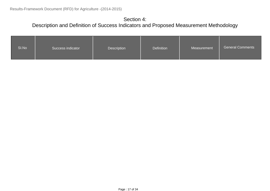| SI.No | Success indicator | <b>Description</b> | Definition | Measurement | <b>General Comments</b> |
|-------|-------------------|--------------------|------------|-------------|-------------------------|
|-------|-------------------|--------------------|------------|-------------|-------------------------|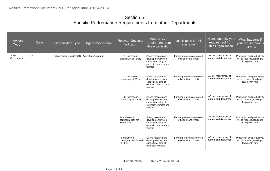| Location<br><b>Type</b> | <b>State</b> | <b>Organisation Type</b>                           | <b>Organisation Name</b> | <b>Relevant Success</b><br>Indicator                 | What is your<br>requirement from<br>this organisation                                                  | Justification for this<br>requirement                | Please quantify your<br>requirement from<br>this Organisation | What happens if<br>your requirement is<br>not met.                            |
|-------------------------|--------------|----------------------------------------------------|--------------------------|------------------------------------------------------|--------------------------------------------------------------------------------------------------------|------------------------------------------------------|---------------------------------------------------------------|-------------------------------------------------------------------------------|
| State<br>Government     | <b>HP</b>    | Public Sector units (PSU'S) Agriculture University |                          | $[1.1.1]$ Increase in<br>productivity of Paddy       | Strong research and<br>development system,<br>capacity building of<br>extension workers and<br>farmers | Farmer problems are solved<br>efficiently and timely | AS per requirement of<br>farmers and departmen                | Production and productivity<br>will be reduced, leading to<br>low growth rate |
|                         |              |                                                    |                          | [1.1.2] Increase in<br>productivity of Wheat         | Strong research and<br>development system,<br>capacity building of<br>extension workers and<br>farmers | Farmer problems are solved<br>efficiently and timely | AS per requirement of<br>farmers and departmen                | Production and productivity<br>will be reduced, leading to<br>low growth rate |
|                         |              |                                                    |                          | $[1.1.3]$ Increase in<br>productivity of Maize       | Strong research and<br>development system,<br>capacity building of<br>extension workers and<br>farmers | Farmer problems are solved<br>efficiently and timely | AS per requirement of<br>farmers and departmen                | Production and productivity<br>will be reduced, leading to<br>low growth rate |
|                         |              |                                                    |                          | Formulation of<br>contingent plan for<br>Kharif 2014 | Strong research and<br>development system,<br>capacity building of<br>extension workers and<br>farmers | Farmer problems are solved<br>efficiently and timely | AS per requirement of<br>farmers and departmen                | Production and productivity<br>will be reduced, leading to<br>low growth rate |
|                         |              |                                                    |                          | Formulation of<br>contingent plan for Rab<br>2014-15 | Strong research and<br>development system,<br>capacity building of<br>extension workers                | Farmer problems are solved<br>efficiently and timely | AS per requirement of<br>farmers and departmen                | Production and productivity<br>will be reduced, leading to<br>low growth rate |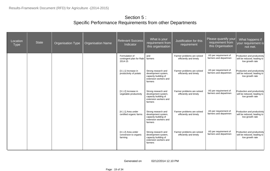| Location<br><b>Type</b> | <b>State</b> | <b>Organisation Type</b> | <b>Organisation Name</b> | <b>Relevant Success</b><br>Indicator                   | What is your<br>requirement from<br>this organisation                                                  | Justification for this<br>requirement                | Please quantify your<br>requirement from<br>this Organisation | What happens if<br>your requirement is<br>not met.                            |
|-------------------------|--------------|--------------------------|--------------------------|--------------------------------------------------------|--------------------------------------------------------------------------------------------------------|------------------------------------------------------|---------------------------------------------------------------|-------------------------------------------------------------------------------|
|                         |              |                          |                          | Formulation of<br>contingent plan for Rabi<br>2014-15  | and<br>farmers                                                                                         | Farmer problems are solved<br>efficiently and timely | AS per requirement of<br>farmers and departmen                | Production and productivity<br>will be reduced, leading to<br>low growth rate |
|                         |              |                          |                          | [3.1.1] Increase in<br>productivity of potato          | Strong research and<br>development system,<br>capacity building of<br>extension workers and<br>farmers | Farmer problems are solved<br>efficiently and timely | AS per requirement of<br>farmers and departmen                | Production and productivity<br>will be reduced, leading to<br>low growth rate |
|                         |              |                          |                          | [3.1.2] Increase in<br>vegetable productivity          | Strong research and<br>development system,<br>capacity building of<br>extension workers and<br>farmers | Farmer problems are solved<br>efficiently and timely | AS per requirement of<br>farmers and departmen                | Production and productivity<br>will be reduced, leading to<br>low growth rate |
|                         |              |                          |                          | $[4.1.1]$ Area under<br>certified organic farms        | Strong research and<br>development system,<br>capacity building of<br>extension workers and<br>farmers | Farmer problems are solved<br>efficiently and timely | AS per requirement of<br>farmers and departmen                | Production and productivity<br>will be reduced, leading to<br>low growth rate |
|                         |              |                          |                          | [4.1.2] Area under<br>conversion to organic<br>farming | Strong research and<br>development system,<br>capacity building of<br>extension workers and<br>farmers | Farmer problems are solved<br>efficiently and timely | AS per requirement of<br>farmers and departmen                | Production and productivity<br>will be reduced, leading to<br>low growth rate |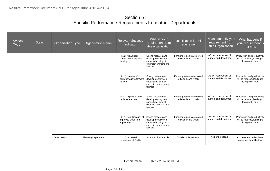| Location<br><b>Type</b> | <b>State</b> | <b>Organisation Type</b> | <b>Organisation Name</b> | <b>Relevant Success</b><br>Indicator                           | What is your<br>requirement from<br>this organisation                                                  | Justification for this<br>requirement                | Please quantify your<br>requirement from<br>this Organisation | What happens if<br>your requirement is<br>not met.                            |
|-------------------------|--------------|--------------------------|--------------------------|----------------------------------------------------------------|--------------------------------------------------------------------------------------------------------|------------------------------------------------------|---------------------------------------------------------------|-------------------------------------------------------------------------------|
|                         |              |                          |                          | [4.1.2] Area under<br>conversion to organic<br>farming         | Strong research and<br>development system,<br>capacity building of<br>extension workers and<br>farmers | Farmer problems are solved<br>efficiently and timely | AS per requirement of<br>farmers and departmen                | Production and productivity<br>will be reduced, leading to<br>low growth rate |
|                         |              |                          |                          | [5.1.1] Number of<br>demonstrations/farmers<br>trained         | Strong research and<br>development system,<br>capacity building of<br>extension workers and<br>farmers | Farmer problems are solved<br>efficiently and timely | AS per requirement of<br>farmers and departmen                | Production and productivity<br>will be reduced, leading to<br>low growth rate |
|                         |              |                          |                          | [5.2.3] Improved seed<br>replacement rate                      | Strong research and<br>development system,<br>capacity building of<br>extension workers and<br>farmers | Farmer problems are solved<br>efficiently and timely | AS per requirement of<br>farmers and departmen                | Production and productivity<br>will be reduced, leading to<br>low growth rate |
|                         |              |                          |                          | [6.1.1] Popularisation of<br>improved small farm<br>implements | Strong research and<br>development system,<br>capacity building of<br>extension workers and<br>farmers | Farmer problems are solved<br>efficiently and timely | AS per requirement of<br>farmers and departmen                | Production and productivity<br>will be reduced, leading to<br>low growth rate |
|                         |              | Departments              | Planning Department      | $[1.1.1]$ Increase in<br>productivity of Paddy                 | approval of annual plan                                                                                | Timely implementation                                | As per proposals                                              | Achievement under these<br>components will be low                             |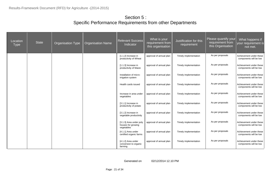| Location<br><b>Type</b> | <b>State</b> | <b>Organisation Type</b> | <b>Organisation Name</b> | <b>Relevant Success</b><br>Indicator                        | What is your<br>requirement from<br>this organisation | Justification for this<br>requirement | Please quantify your<br>requirement from<br>this Organisation | What happens if<br>your requirement is<br>not met. |
|-------------------------|--------------|--------------------------|--------------------------|-------------------------------------------------------------|-------------------------------------------------------|---------------------------------------|---------------------------------------------------------------|----------------------------------------------------|
|                         |              |                          |                          | [1.1.2] Increase in<br>productivity of Wheat                | approval of annual plan                               | Timely implementation                 | As per proposals                                              | Achievement under these<br>components will be low  |
|                         |              |                          |                          | [1.1.3] Increase in<br>productivity of Maize                | approval of annual plan                               | Timely implementation                 | As per proposals                                              | Achievement under these<br>components will be low  |
|                         |              |                          |                          | Installation of micro-<br>irrigation system                 | approval of annual plan                               | Timely implementation                 | As per proposals                                              | Achievement under these<br>components will be low  |
|                         |              |                          |                          | Health cards issued                                         | approval of annual plan                               | Timely implementation                 | As per proposals                                              | Achievement under these<br>components will be low  |
|                         |              |                          |                          | Increase in area under<br>vegetables                        | approval of annual plan                               | Timely implementation                 | As per proposals                                              | Achievement under these<br>components will be low  |
|                         |              |                          |                          | [3.1.1] Increase in<br>productivity of potato               | approval of annual plan                               | Timely implementation                 | As per proposals                                              | Achievement under these<br>components will be low  |
|                         |              |                          |                          | [3.1.2] Increase in<br>vegetable productivity               | approval of annual plan                               | Timely implementation                 | As per proposals                                              | Achievement under these<br>components will be low  |
|                         |              |                          |                          | [3.1.3] Area under poly<br>houses for growing<br>vegetables | approval of annual plan                               | Timely implementation                 | As per proposals                                              | Achievement under these<br>components will be low  |
|                         |              |                          |                          | [4.1.1] Area under<br>certified organic farms               | approval of annual plan                               | Timely implementation                 | As per proposals                                              | Achievement under these<br>components will be low  |
|                         |              |                          |                          | [4.1.2] Area under<br>conversion to organic<br>farming      | approval of annual plan                               | Timely implementation                 | As per proposals                                              | Achievement under these<br>components will be low  |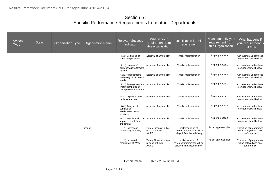| Location<br><b>Type</b> | <b>State</b> | <b>Organisation Type</b> | Organisation Name | <b>Relevant Success</b><br>Indicator                                           | What is your<br>requirement from<br>this organisation  | Justification for this<br>requirement                                           | Please quantify your<br>requirement from<br>this Organisation | What happens if<br>your requirement is<br>not met.                 |
|-------------------------|--------------|--------------------------|-------------------|--------------------------------------------------------------------------------|--------------------------------------------------------|---------------------------------------------------------------------------------|---------------------------------------------------------------|--------------------------------------------------------------------|
|                         |              |                          |                   | [4.1.3] Setting up of<br>vermi compost units                                   | approval of annual plan                                | Timely implementation                                                           | As per proposals                                              | Achievement under these<br>components will be low                  |
|                         |              |                          |                   | [5.1.1] Number of<br>demonstrations/farmers<br>trained                         | approval of annual plan                                | Timely implementation                                                           | As per proposals                                              | Achievement under these<br>components will be low                  |
|                         |              |                          |                   | [5.2.1] Arrangements<br>and timely distribution of<br>seeds                    | approval of annual plan                                | Timely implementation                                                           | As per proposals                                              | Achievement under these<br>components will be low                  |
|                         |              |                          |                   | [5.2.2] Arrangement and<br>timely distribution of<br>plant protection material | approval of annual plan                                | Timely implementation                                                           | As per proposals                                              | Achievement under these<br>components will be low                  |
|                         |              |                          |                   | [5.2.3] Improved seed<br>replacement rate                                      | approval of annual plan                                | Timely implementation                                                           | As per proposals                                              | Achievement under these<br>components will be low                  |
|                         |              |                          |                   | [5.4.1] Analysis of<br>samples of<br>seeds, pesticides &<br>fertilisers        | approval of annual plan                                | Timely implementation                                                           | As per proposals                                              | Achievement under these<br>components will be low                  |
|                         |              |                          |                   | [6.1.1] Popularisation of<br>improved small farm<br>implements                 | approval of annual plan                                | Timely implementation                                                           | As per proposals                                              | Achievement under these<br>components will be low                  |
|                         |              |                          | <b>Finance</b>    | [1.1.1] Increase in<br>productivity of Paddy                                   | Timely Financial outlay,<br>release of funds.<br>AA/FS | Implementation of<br>schemes/programmes will be<br>delayed if not issued timely | As per approved plan                                          | Execution of programmes<br>will be delayed and poor<br>performance |
|                         |              |                          |                   | $[1.1.2]$ Increase in<br>productivity of Wheat                                 | Timely Financial outlay,<br>release of funds,<br>AA/FS | Implementation of<br>schemes/programmes will be<br>delayed if not issued timely | As per approved plan                                          | Execution of programmes<br>will be delayed and poor<br>performance |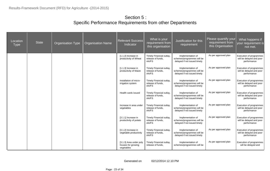| Location<br><b>Type</b> | <b>State</b> | <b>Organisation Type</b> | <b>Organisation Name</b> | <b>Relevant Success</b><br>Indicator                        | What is your<br>requirement from<br>this organisation  | Justification for this<br>requirement                                           | Please quantify your<br>requirement from<br>this Organisation | What happens if<br>your requirement is<br>not met.                 |
|-------------------------|--------------|--------------------------|--------------------------|-------------------------------------------------------------|--------------------------------------------------------|---------------------------------------------------------------------------------|---------------------------------------------------------------|--------------------------------------------------------------------|
|                         |              |                          |                          | [1.1.2] Increase in<br>productivity of Wheat                | Timely Financial outlay,<br>release of funds.<br>AA/FS | Implementation of<br>schemes/programmes will be<br>delayed if not issued timely | As per approved plan                                          | Execution of programmes<br>will be delayed and poor<br>performance |
|                         |              |                          |                          | $[1.1.3]$ Increase in<br>productivity of Maize              | Timely Financial outlay,<br>release of funds,<br>AA/FS | Implementation of<br>schemes/programmes will be<br>delayed if not issued timely | As per approved plan                                          | Execution of programmes<br>will be delayed and poor<br>performance |
|                         |              |                          |                          | Installation of micro-<br>irrigation system                 | Timely Financial outlay,<br>release of funds.<br>AA/FS | Implementation of<br>schemes/programmes will be<br>delayed if not issued timely | As per approved plan                                          | Execution of programmes<br>will be delayed and poor<br>performance |
|                         |              |                          |                          | Health cards issued                                         | Timely Financial outlay,<br>release of funds.<br>AA/FS | Implementation of<br>schemes/programmes will be<br>delayed if not issued timely | As per approved plan                                          | Execution of programmes<br>will be delayed and poor<br>performance |
|                         |              |                          |                          | Increase in area under<br>vegetables                        | Timely Financial outlay,<br>release of funds.<br>AA/FS | Implementation of<br>schemes/programmes will be<br>delayed if not issued timely | As per approved plan                                          | Execution of programmes<br>will be delayed and poor<br>performance |
|                         |              |                          |                          | [3.1.1] Increase in<br>productivity of potato               | Timely Financial outlay,<br>release of funds,<br>AA/FS | Implementation of<br>schemes/programmes will be<br>delayed if not issued timely | As per approved plan                                          | Execution of programmes<br>will be delayed and poor<br>performance |
|                         |              |                          |                          | [3.1.2] Increase in<br>vegetable productivity               | Timely Financial outlay,<br>release of funds.<br>AA/FS | Implementation of<br>schemes/programmes will be<br>delayed if not issued timely | As per approved plan                                          | Execution of programmes<br>will be delayed and poor<br>performance |
|                         |              |                          |                          | [3.1.3] Area under poly<br>houses for growing<br>vegetables | Timely Financial outlay,<br>release of funds.          | Implementation of<br>schemes/programmes will be                                 | As per approved plan                                          | Execution of programmes<br>will be delayed and                     |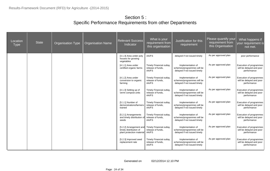| Location<br><b>Type</b> | <b>State</b> | <b>Organisation Type</b> | <b>Organisation Name</b> | <b>Relevant Success</b><br>Indicator                                           | What is your<br>requirement from<br>this organisation  | Justification for this<br>requirement                                           | Please quantify your<br>requirement from<br>this Organisation | What happens if<br>your requirement is<br>not met.                 |
|-------------------------|--------------|--------------------------|--------------------------|--------------------------------------------------------------------------------|--------------------------------------------------------|---------------------------------------------------------------------------------|---------------------------------------------------------------|--------------------------------------------------------------------|
|                         |              |                          |                          | [3.1.3] Area under poly<br>houses for growing<br>vegetables                    | AA/FS                                                  | delayed if not issued timely                                                    | As per approved plan                                          | poor performance                                                   |
|                         |              |                          |                          | [4.1.1] Area under<br>certified organic farms                                  | Timely Financial outlay,<br>release of funds,<br>AA/FS | Implementation of<br>schemes/programmes will be<br>delayed if not issued timely | As per approved plan                                          | Execution of programmes<br>will be delayed and poor<br>performance |
|                         |              |                          |                          | [4.1.2] Area under<br>conversion to organic<br>farming                         | Timely Financial outlay,<br>release of funds.<br>AA/FS | Implementation of<br>schemes/programmes will be<br>delayed if not issued timely | As per approved plan                                          | Execution of programmes<br>will be delayed and poor<br>performance |
|                         |              |                          |                          | [4.1.3] Setting up of<br>vermi compost units                                   | Timely Financial outlay,<br>release of funds.<br>AA/FS | Implementation of<br>schemes/programmes will be<br>delayed if not issued timely | As per approved plan                                          | Execution of programmes<br>will be delayed and poor<br>performance |
|                         |              |                          |                          | [5.1.1] Number of<br>demonstrations/farmers<br>trained                         | Timely Financial outlay,<br>release of funds.<br>AA/FS | Implementation of<br>schemes/programmes will be<br>delayed if not issued timely | As per approved plan                                          | Execution of programmes<br>will be delayed and poor<br>performance |
|                         |              |                          |                          | [5.2.1] Arrangements<br>and timely distribution of<br>seeds                    | Timely Financial outlay,<br>release of funds.<br>AA/FS | Implementation of<br>schemes/programmes will be<br>delayed if not issued timely | As per approved plan                                          | Execution of programmes<br>will be delayed and poor<br>performance |
|                         |              |                          |                          | [5.2.2] Arrangement and<br>timely distribution of<br>plant protection material | Timely Financial outlay,<br>release of funds.<br>AA/FS | Implementation of<br>schemes/programmes will be<br>delayed if not issued timely | As per approved plan                                          | Execution of programmes<br>will be delayed and poor<br>performance |
|                         |              |                          |                          | [5.2.3] Improved seed<br>replacement rate                                      | Timely Financial outlay,<br>release of funds,<br>AA/FS | Implementation of<br>schemes/programmes will be<br>delayed if not issued timely | As per approved plan                                          | Execution of programmes<br>will be delayed and poor<br>performance |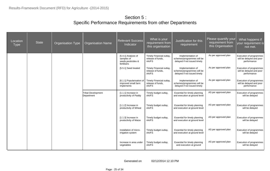| Location<br><b>Type</b> | <b>State</b> | <b>Organisation Type</b> | <b>Organisation Name</b>                | <b>Relevant Success</b><br>Indicator                                    | What is your<br>requirement from<br>this organisation  | Justification for this<br>requirement                                           | Please quantify your<br>requirement from<br>this Organisation | What happens if<br>your requirement is<br>not met.                 |
|-------------------------|--------------|--------------------------|-----------------------------------------|-------------------------------------------------------------------------|--------------------------------------------------------|---------------------------------------------------------------------------------|---------------------------------------------------------------|--------------------------------------------------------------------|
|                         |              |                          |                                         | [5.4.1] Analysis of<br>samples of<br>seeds, pesticides &<br>fertilisers | Timely Financial outlay,<br>release of funds,<br>AA/FS | Implementation of<br>schemes/programmes will be<br>delayed if not issued timely | As per approved plan                                          | Execution of programmes<br>will be delayed and poor<br>performance |
|                         |              |                          |                                         | [5.5.1] Seed treated                                                    | Timely Financial outlay,<br>release of funds.<br>AA/FS | Implementation of<br>schemes/programmes will be<br>delayed if not issued timely | As per approved plan                                          | Execution of programmes<br>will be delayed and poor<br>performance |
|                         |              |                          |                                         | [6.1.1] Popularisation of<br>improved small farm<br>implements          | Timely Financial outlay,<br>release of funds.<br>AA/FS | Implementation of<br>schemes/programmes will be<br>delayed if not issued timely | As per approved plan                                          | Execution of programmes<br>will be delayed and poor<br>performance |
|                         |              |                          | <b>Tribal Development</b><br>Department | [1.1.1] Increase in<br>productivity of Paddy                            | Timely budget outlay,<br>AA/FS                         | Essential for timely planning<br>and execution at ground level                  | AS per approved plan                                          | Execution of programmes<br>will be delayed                         |
|                         |              |                          |                                         | [1.1.2] Increase in<br>productivity of Wheat                            | Timely budget outlay,<br>AA/FS                         | Essential for timely planning<br>and execution at ground level                  | AS per approved plan                                          | Execution of programmes<br>will be delayed                         |
|                         |              |                          |                                         | [1.1.3] Increase in<br>productivity of Maize                            | Timely budget outlay,<br>AA/FS                         | Essential for timely planning<br>and execution at ground level                  | AS per approved plan                                          | Execution of programmes<br>will be delayed                         |
|                         |              |                          |                                         | Installation of micro-<br>irrigation system                             | Timely budget outlay,<br>AA/FS                         | Essential for timely planning<br>and execution at ground level                  | AS per approved plan                                          | Execution of programmes<br>will be delayed                         |
|                         |              |                          |                                         | Increase in area under<br>vegetables                                    | Timely budget outlay,<br>AA/FS                         | Essential for timely planning<br>and execution at ground                        | AS per approved plan                                          | Execution of programmes<br>will be delayed                         |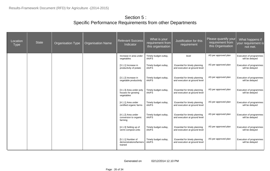| Location<br><b>Type</b> | <b>State</b> | <b>Organisation Type</b> | <b>Organisation Name</b> | <b>Relevant Success</b><br>Indicator                        | What is your<br>requirement from<br>this organisation | Justification for this<br>requirement                          | Please quantify your<br>requirement from<br>this Organisation | What happens if<br>your requirement is<br>not met. |
|-------------------------|--------------|--------------------------|--------------------------|-------------------------------------------------------------|-------------------------------------------------------|----------------------------------------------------------------|---------------------------------------------------------------|----------------------------------------------------|
|                         |              |                          |                          | Increase in area under<br>vegetables                        | Timely budget outlay,<br>AA/FS                        | level                                                          | AS per approved plan                                          | Execution of programmes<br>will be delayed         |
|                         |              |                          |                          | [3.1.1] Increase in<br>productivity of potato               | Timely budget outlay,<br>AA/FS                        | Essential for timely planning<br>and execution at ground level | AS per approved plan                                          | Execution of programmes<br>will be delayed         |
|                         |              |                          |                          | [3.1.2] Increase in<br>vegetable productivity               | Timely budget outlay,<br>AA/FS                        | Essential for timely planning<br>and execution at ground level | AS per approved plan                                          | Execution of programmes<br>will be delayed         |
|                         |              |                          |                          | [3.1.3] Area under poly<br>houses for growing<br>vegetables | Timely budget outlay,<br>AA/FS                        | Essential for timely planning<br>and execution at ground level | AS per approved plan                                          | Execution of programmes<br>will be delayed         |
|                         |              |                          |                          | [4.1.1] Area under<br>certified organic farms               | Timely budget outlay,<br>AA/FS                        | Essential for timely planning<br>and execution at ground level | AS per approved plan                                          | Execution of programmes<br>will be delayed         |
|                         |              |                          |                          | [4.1.2] Area under<br>conversion to organic<br>farming      | Timely budget outlay,<br>AA/FS                        | Essential for timely planning<br>and execution at ground level | AS per approved plan                                          | Execution of programmes<br>will be delayed         |
|                         |              |                          |                          | [4.1.3] Setting up of<br>vermi compost units                | Timely budget outlay,<br>AA/FS                        | Essential for timely planning<br>and execution at ground level | AS per approved plan                                          | Execution of programmes<br>will be delayed         |
|                         |              |                          |                          | [5.1.1] Number of<br>demonstrations/farmers<br>trained      | Timely budget outlay,<br>AA/FS                        | Essential for timely planning<br>and execution at ground level | AS per approved plan                                          | Execution of programmes<br>will be delayed         |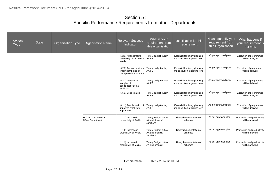| Location<br><b>Type</b> | <b>State</b> | <b>Organisation Type</b> | <b>Organisation Name</b>                  | <b>Relevant Success</b><br>Indicator                                           | What is your<br>requirement from<br>this organisation  | Justification for this<br>requirement                          | Please quantify your<br>requirement from<br>this Organisation | What happens if<br>your requirement is<br>not met. |
|-------------------------|--------------|--------------------------|-------------------------------------------|--------------------------------------------------------------------------------|--------------------------------------------------------|----------------------------------------------------------------|---------------------------------------------------------------|----------------------------------------------------|
|                         |              |                          |                                           | [5.2.1] Arrangements<br>and timely distribution of<br>seeds                    | Timely budget outlay,<br>AA/FS                         | Essential for timely planning<br>and execution at ground level | AS per approved plan                                          | Execution of programmes<br>will be delayed         |
|                         |              |                          |                                           | [5.2.2] Arrangement and<br>timely distribution of<br>plant protection material | Timely budget outlay,<br>AA/FS                         | Essential for timely planning<br>and execution at ground level | AS per approved plan                                          | Execution of programmes<br>will be delayed         |
|                         |              |                          |                                           | [5.4.1] Analysis of<br>samples of<br>seeds, pesticides &<br>fertilisers        | Timely budget outlay,<br>AA/FS                         | Essential for timely planning<br>and execution at ground level | AS per approved plan                                          | Execution of programmes<br>will be delayed         |
|                         |              |                          |                                           | [5.5.1] Seed treated                                                           | Timely budget outlay,<br>AA/FS                         | Essential for timely planning<br>and execution at ground level | AS per approved plan                                          | Execution of programmes<br>will be delayed         |
|                         |              |                          |                                           | [6.1.1] Popularisation of<br>improved small farm<br>implements                 | Timely budget outlay,<br>AA/FS                         | Essential for timely planning<br>and execution at ground level | AS per approved plan                                          | Execution of programmes<br>will be delayed         |
|                         |              |                          | SC/OBC and Minority<br>Affairs Department | [1.1.1] Increase in<br>productivity of Paddy                                   | Timely Budget outlay,<br>AA and financial<br>sanctions | Timely implementation of<br>schemes                            | As per approved plan                                          | Production and productivity<br>will be affected    |
|                         |              |                          |                                           | $[1.1.2]$ Increase in<br>productivity of Wheat                                 | Timely Budget outlay,<br>AA and financial<br>sanctions | Timely implementation of<br>schemes                            | As per approved plan                                          | Production and productivity<br>will be affected    |
|                         |              |                          |                                           | [1.1.3] Increase in<br>productivity of Maize                                   | Timely Budget outlay,<br>AA and financial              | Timely implementation of<br>schemes                            | As per approved plan                                          | Production and productivity<br>will be affected    |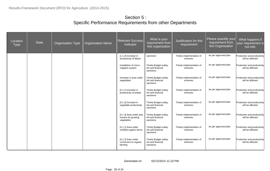| Location<br><b>Type</b> | <b>State</b> | <b>Organisation Type</b> | <b>Organisation Name</b> | <b>Relevant Success</b><br>Indicator                        | What is your<br>requirement from<br>this organisation  | Justification for this<br>requirement | Please quantify your<br>requirement from<br>this Organisation | What happens if<br>your requirement is<br>not met. |
|-------------------------|--------------|--------------------------|--------------------------|-------------------------------------------------------------|--------------------------------------------------------|---------------------------------------|---------------------------------------------------------------|----------------------------------------------------|
|                         |              |                          |                          | $[1.1.3]$ Increase in<br>productivity of Maize              | sanctions                                              | Timely implementation of<br>schemes   | As per approved plan                                          | Production and productivity<br>will be affected    |
|                         |              |                          |                          | Installation of micro-<br>irrigation system                 | Timely Budget outlay,<br>AA and financial<br>sanctions | Timely implementation of<br>schemes   | As per approved plan                                          | Production and productivity<br>will be affected    |
|                         |              |                          |                          | Increase in area under<br>vegetables                        | Timely Budget outlay,<br>AA and financial<br>sanctions | Timely implementation of<br>schemes   | As per approved plan                                          | Production and productivity<br>will be affected    |
|                         |              |                          |                          | [3.1.1] Increase in<br>productivity of potato               | Timely Budget outlay,<br>AA and financial<br>sanctions | Timely implementation of<br>schemes   | As per approved plan                                          | Production and productivity<br>will be affected    |
|                         |              |                          |                          | [3.1.2] Increase in<br>vegetable productivity               | Timely Budget outlay,<br>AA and financial<br>sanctions | Timely implementation of<br>schemes   | As per approved plan                                          | Production and productivity<br>will be affected    |
|                         |              |                          |                          | [3.1.3] Area under poly<br>houses for growing<br>vegetables | Timely Budget outlay,<br>AA and financial<br>sanctions | Timely implementation of<br>schemes   | As per approved plan                                          | Production and productivity<br>will be affected    |
|                         |              |                          |                          | [4.1.1] Area under<br>certified organic farms               | Timely Budget outlay,<br>AA and financial<br>sanctions | Timely implementation of<br>schemes   | As per approved plan                                          | Production and productivity<br>will be affected    |
|                         |              |                          |                          | [4.1.2] Area under<br>conversion to organic<br>farming      | Timely Budget outlay,<br>AA and financial<br>sanctions | Timely implementation of<br>schemes   | As per approved plan                                          | Production and productivity<br>will be affected    |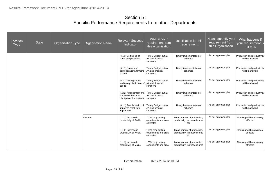| Location<br><b>Type</b> | <b>State</b> | <b>Organisation Type</b> | <b>Organisation Name</b> | <b>Relevant Success</b><br>Indicator                                           | What is your<br>requirement from<br>this organisation  | Please quantify your<br>Justification for this<br>requirement from<br>requirement<br>this Organisation |                      | What happens if<br>your requirement is<br>not met. |
|-------------------------|--------------|--------------------------|--------------------------|--------------------------------------------------------------------------------|--------------------------------------------------------|--------------------------------------------------------------------------------------------------------|----------------------|----------------------------------------------------|
|                         |              |                          |                          | [4.1.3] Setting up of<br>vermi compost units                                   | Timely Budget outlay,<br>AA and financial<br>sanctions | Timely implementation of<br>schemes                                                                    | As per approved plan | Production and productivity<br>will be affected    |
|                         |              |                          |                          | [5.1.1] Number of<br>demonstrations/farmers<br>trained                         | Timely Budget outlay,<br>AA and financial<br>sanctions | Timely implementation of<br>schemes                                                                    | As per approved plan | Production and productivity<br>will be affected    |
|                         |              |                          |                          | [5.2.1] Arrangements<br>and timely distribution o<br>seeds                     | Timely Budget outlay,<br>AA and financial<br>sanctions | Timely implementation of<br>schemes                                                                    | As per approved plan | Production and productivity<br>will be affected    |
|                         |              |                          |                          | [5.2.2] Arrangement and<br>timely distribution of<br>plant protection material | Timely Budget outlay,<br>AA and financial<br>sanctions | Timely implementation of<br>schemes                                                                    | As per approved plan | Production and productivity<br>will be affected    |
|                         |              |                          |                          | [6.1.1] Popularisation of<br>improved small farm<br>implements                 | Timely Budget outlay,<br>AA and financial<br>sanctions | Timely implementation of<br>schemes                                                                    | As per approved plan | Production and productivity<br>will be affected    |
|                         |              |                          | Revenue                  | $[1.1.1]$ Increase in<br>productivity of Paddy                                 | 100% crop cutting<br>experiments and area<br>estimates | Measurement of production,<br>productivity, increase in area<br>etc.                                   | As per approved plan | Planning will be adversely<br>affected             |
|                         |              |                          |                          | [1.1.2] Increase in<br>productivity of Wheat                                   | 100% crop cutting<br>experiments and area<br>estimates | Measurement of production,<br>productivity, increase in area<br>etc.                                   | As per approved plan | Planning will be adversely<br>affected             |
|                         |              |                          |                          | [1.1.3] Increase in<br>productivity of Maize                                   | 100% crop cutting<br>experiments and area              | Measurement of production,<br>productivity, increase in area                                           | As per approved plan | Planning will be adversely<br>affected             |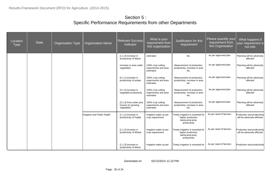| Location<br><b>Type</b> | <b>State</b> | <b>Organisation Type</b> | <b>Organisation Name</b>     | <b>Relevant Success</b><br>Indicator                        | What is your<br>requirement from<br>this organisation  | Please quantify your<br>Justification for this<br>requirement from<br>requirement<br>this Organisation |                        | What happens if<br>your requirement is<br>not met.        |
|-------------------------|--------------|--------------------------|------------------------------|-------------------------------------------------------------|--------------------------------------------------------|--------------------------------------------------------------------------------------------------------|------------------------|-----------------------------------------------------------|
|                         |              |                          |                              | $[1.1.3]$ Increase in<br>productivity of Maize              | estimates                                              | etc.                                                                                                   | As per approved plan   | Planning will be adversely<br>affected                    |
|                         |              |                          |                              | Increase in area under<br>vegetables                        | 100% crop cutting<br>experiments and area<br>estimates | Measurement of production,<br>productivity, increase in area<br>etc.                                   | As per approved plan   | Planning will be adversely<br>affected                    |
|                         |              |                          |                              | [3.1.1] Increase in<br>productivity of potato               | 100% crop cutting<br>experiments and area<br>estimates | Measurement of production,<br>productivity, increase in area<br>etc.                                   | As per approved plan   | Planning will be adversely<br>affected                    |
|                         |              |                          |                              | [3.1.2] Increase in<br>vegetable productivity               | 100% crop cutting<br>experiments and area<br>estimates | Measurement of production,<br>productivity, increase in area<br>etc.                                   | As per approved plan   | Planning will be adversely<br>affected                    |
|                         |              |                          |                              | [3.1.3] Area under poly<br>houses for growing<br>vegetables | 100% crop cutting<br>experiments and area<br>estimates | Measurement of production,<br>productivity, increase in area<br>etc.                                   | As per approved plan   | Planning will be adversely<br>affected                    |
|                         |              |                          | Irrigation and Public Health | $[1.1.1]$ Increase in<br>productivity of Paddy              | Irrigation water as per<br>crop requirement            | Timely Irrigation is essential for<br>higher production<br>&<br>productivity                           | As per need of farmers | Production and productivity<br>will be adversely affected |
|                         |              |                          |                              | [1.1.2] Increase in<br>productivity of Wheat                | Irrigation water as per<br>crop requirement            | Timely Irrigation is essential for<br>higher production<br>&<br>productivity                           | As per need of farmers | Production and productivity<br>will be adversely affected |
|                         |              |                          |                              | $[1.1.3]$ Increase in<br>productivity of Maize              | Irrigation water as per                                | Timely Irrigation is essential for                                                                     | As per need of farmers | Production and productivity                               |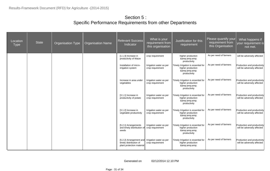| Location<br><b>Type</b> | <b>State</b> | <b>Organisation Type</b> | <b>Organisation Name</b> | <b>Relevant Success</b><br>Indicator                                           | Please quantify your<br>What is your<br>Justification for this<br>requirement from<br>requirement from<br>requirement<br>this Organisation<br>this organisation |                                                                              | What happens if<br>your requirement is<br>not met. |                                                           |
|-------------------------|--------------|--------------------------|--------------------------|--------------------------------------------------------------------------------|-----------------------------------------------------------------------------------------------------------------------------------------------------------------|------------------------------------------------------------------------------|----------------------------------------------------|-----------------------------------------------------------|
|                         |              |                          |                          | [1.1.3] Increase in<br>productivity of Maize                                   | crop requirement                                                                                                                                                | higher production<br>&<br>productivity                                       | As per need of farmers                             | will be adversely affected                                |
|                         |              |                          |                          | Installation of micro-<br>irrigation system                                    | Irrigation water as per<br>crop requirement                                                                                                                     | Timely Irrigation is essential for<br>higher production<br>&<br>productivity | As per need of farmers                             | Production and productivity<br>will be adversely affected |
|                         |              |                          |                          | Increase in area under<br>vegetables                                           | Irrigation water as per<br>crop requirement                                                                                                                     | Timely Irrigation is essential for<br>higher production<br>&<br>productivity | As per need of farmers                             | Production and productivity<br>will be adversely affected |
|                         |              |                          |                          | [3.1.1] Increase in<br>productivity of potato                                  | Irrigation water as per<br>crop requirement                                                                                                                     | Timely Irrigation is essential for<br>higher production<br>&<br>productivity | As per need of farmers                             | Production and productivity<br>will be adversely affected |
|                         |              |                          |                          | [3.1.2] Increase in<br>vegetable productivity                                  | Irrigation water as per<br>crop requirement                                                                                                                     | Timely Irrigation is essential for<br>higher production<br>&<br>productivity | As per need of farmers                             | Production and productivity<br>will be adversely affected |
|                         |              |                          |                          | [5.2.1] Arrangements<br>and timely distribution of<br>seeds                    | Irrigation water as per<br>crop requirement                                                                                                                     | Timely Irrigation is essential for<br>higher production<br>&<br>productivity | As per need of farmers                             | Production and productivity<br>will be adversely affected |
|                         |              |                          |                          | [5.2.2] Arrangement and<br>timely distribution of<br>plant protection material | Irrigation water as per<br>crop requirement                                                                                                                     | Timely Irrigation is essential for<br>higher production<br>&                 | As per need of farmers                             | Production and productivity<br>will be adversely affected |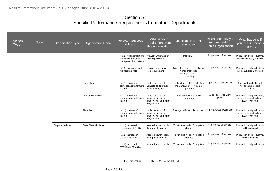| Location<br><b>Type</b> | <b>State</b> | <b>Organisation Type</b> | <b>Organisation Name</b> | <b>Relevant Success</b><br>Indicator                                           | What is your<br>requirement from<br>this organisation                          | Justification for this<br>requirement                                         | Please quantify your<br>requirement from<br>this Organisation | What happens if<br>your requirement is<br>not met.                            |
|-------------------------|--------------|--------------------------|--------------------------|--------------------------------------------------------------------------------|--------------------------------------------------------------------------------|-------------------------------------------------------------------------------|---------------------------------------------------------------|-------------------------------------------------------------------------------|
|                         |              |                          |                          | [5.2.2] Arrangement and<br>timely distribution of<br>plant protection material | Irrigation water as per<br>crop requirement                                    | productivity                                                                  | As per need of farmers                                        | Production and productivity<br>will be adversely affected                     |
|                         |              |                          |                          | [5.2.3] Improved seed<br>replacement rate                                      | Irrigation water as per<br>crop requirement                                    | Timely Irrigation is essential for<br>higher production<br>&<br>productivity  | As per need of farmers                                        | Production and productivity<br>will be adversely affected                     |
|                         |              |                          | Horticulture             | [5.1.1] Number of<br>demonstrations/farmers<br>trained                         | Implementation of<br>activities as approved<br>under RKVY, ATMA                | Horticulture realated activities<br>are Mandate of Horticulture<br>department | As per approved work plan                                     | Approved work plan will<br>not be implemented<br>completely                   |
|                         |              |                          | Animal Husbandry         | [5.1.1] Number of<br>demonstrations/farmers<br>trained                         | Implementation of<br>approved activities<br>under ATMA and other<br>programmes | Activities belongs to AH<br>department                                        | AS per approved work<br>plan                                  | Production and productivity<br>will be reduced, leading to<br>low growth rate |
|                         |              |                          | Fisheries                | [5.1.1] Number of<br>demonstrations/farmers<br>trained                         | Implementation of<br>approved activities<br>under ATMA and other<br>programmes | Belongs to Fishery department                                                 | As per approved work plan                                     | Production and productivity<br>will be reduced, leading to<br>low growth rate |
|                         |              | Corporation/Board        | State Electricity Board  | [1.1.1] Increase in<br>productivity of Paddy                                   | Assured power supply<br>during peak season                                     | To run tube wells, lift irrigation<br>schemes                                 | As per need of farmers                                        | Production and productivity<br>will be affected                               |
|                         |              |                          |                          | [1.1.2] Increase in<br>productivity of Wheat                                   | Assured power supply<br>during peak season                                     | To run tube wells, lift irrigation<br>schemes                                 | As per need of farmers                                        | Production and productivity<br>will be affected                               |
|                         |              |                          |                          | [1.1.3] Increase in<br>productivity of Maize                                   | Assured power supply                                                           | To run tube wells, lift irrigation                                            | As per need of farmers                                        | Production and productivity                                                   |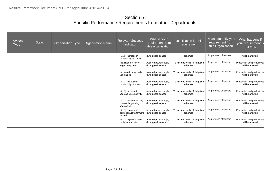| Location<br><b>Type</b> | <b>State</b> | <b>Organisation Type</b> | <b>Organisation Name</b> | <b>Relevant Success</b><br>Indicator                        | What is your<br>requirement from<br>this organisation | Justification for this<br>requirement         | Please quantify your<br>requirement from<br>this Organisation | What happens if<br>your requirement is<br>not met.     |
|-------------------------|--------------|--------------------------|--------------------------|-------------------------------------------------------------|-------------------------------------------------------|-----------------------------------------------|---------------------------------------------------------------|--------------------------------------------------------|
|                         |              |                          |                          | $[1.1.3]$ Increase in<br>productivity of Maize              | during peak season                                    | schemes                                       | As per need of farmers                                        | will be affected                                       |
|                         |              |                          |                          | Installation of micro-<br>irrigation system                 | Assured power supply<br>during peak season            | To run tube wells, lift irrigation<br>schemes | As per need of farmers                                        | Production and productivity<br>will be affected        |
|                         |              |                          |                          | Increase in area under<br>vegetables                        | Assured power supply<br>during peak season            | To run tube wells, lift irrigation<br>schemes | As per need of farmers                                        | <b>Production and productivity</b><br>will be affected |
|                         |              |                          |                          | [3.1.1] Increase in<br>productivity of potato               | Assured power supply<br>during peak season            | To run tube wells, lift irrigation<br>schemes | As per need of farmers                                        | Production and productivity<br>will be affected        |
|                         |              |                          |                          | [3.1.2] Increase in<br>vegetable productivity               | Assured power supply<br>during peak season            | To run tube wells, lift irrigation<br>schemes | As per need of farmers                                        | <b>Production and productivity</b><br>will be affected |
|                         |              |                          |                          | [3.1.3] Area under poly<br>houses for growing<br>vegetables | Assured power supply<br>during peak season            | To run tube wells, lift irrigation<br>schemes | As per need of farmers                                        | Production and productivity<br>will be affected        |
|                         |              |                          |                          | [5.1.1] Number of<br>demonstrations/farmers<br>trained      | Assured power supply<br>during peak season            | To run tube wells, lift irrigation<br>schemes | As per need of farmers                                        | Production and productivity<br>will be affected        |
|                         |              |                          |                          | [5.2.3] Improved seed<br>replacement rate                   | Assured power supply<br>during peak season            | To run tube wells, lift irrigation<br>schemes | As per need of farmers                                        | Production and productivity<br>will be affected        |